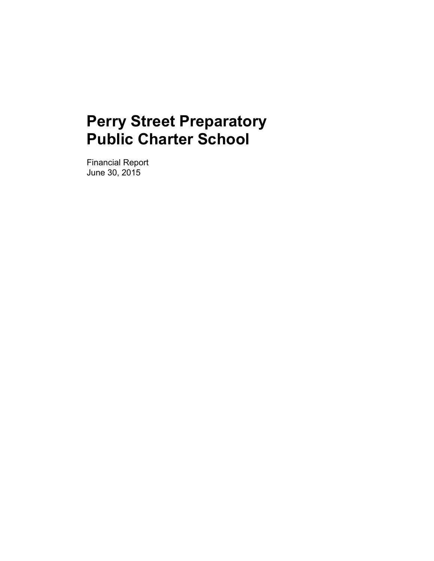Financial Report June 30, 2015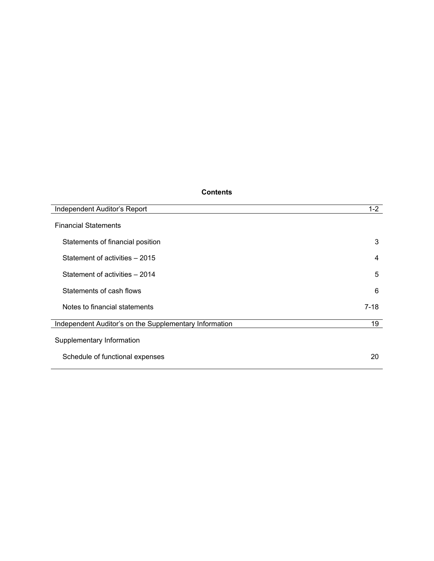# **Contents**

| Independent Auditor's Report                           | $1 - 2$ |
|--------------------------------------------------------|---------|
| <b>Financial Statements</b>                            |         |
| Statements of financial position                       | 3       |
| Statement of activities - 2015                         | 4       |
| Statement of activities - 2014                         | 5       |
| Statements of cash flows                               | 6       |
| Notes to financial statements                          | 7-18    |
| Independent Auditor's on the Supplementary Information | 19      |
| Supplementary Information                              |         |
| Schedule of functional expenses                        | 20      |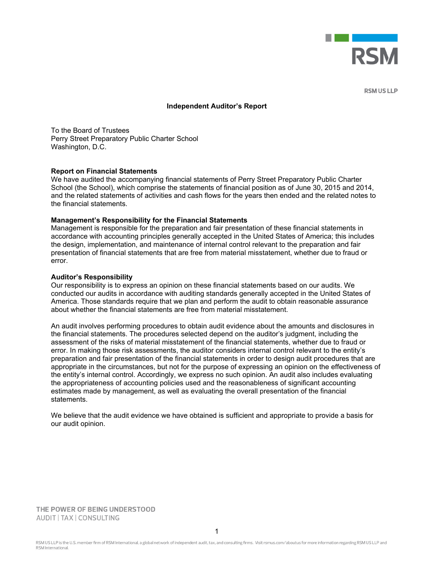

**RSM US LLP** 

#### **Independent Auditor's Report**

To the Board of Trustees Perry Street Preparatory Public Charter School Washington, D.C.

#### **Report on Financial Statements**

We have audited the accompanying financial statements of Perry Street Preparatory Public Charter School (the School), which comprise the statements of financial position as of June 30, 2015 and 2014, and the related statements of activities and cash flows for the years then ended and the related notes to the financial statements.

#### **Management's Responsibility for the Financial Statements**

Management is responsible for the preparation and fair presentation of these financial statements in accordance with accounting principles generally accepted in the United States of America; this includes the design, implementation, and maintenance of internal control relevant to the preparation and fair presentation of financial statements that are free from material misstatement, whether due to fraud or error.

#### **Auditor's Responsibility**

Our responsibility is to express an opinion on these financial statements based on our audits. We conducted our audits in accordance with auditing standards generally accepted in the United States of America. Those standards require that we plan and perform the audit to obtain reasonable assurance about whether the financial statements are free from material misstatement.

An audit involves performing procedures to obtain audit evidence about the amounts and disclosures in the financial statements. The procedures selected depend on the auditor's judgment, including the assessment of the risks of material misstatement of the financial statements, whether due to fraud or error. In making those risk assessments, the auditor considers internal control relevant to the entity's preparation and fair presentation of the financial statements in order to design audit procedures that are appropriate in the circumstances, but not for the purpose of expressing an opinion on the effectiveness of the entity's internal control. Accordingly, we express no such opinion. An audit also includes evaluating the appropriateness of accounting policies used and the reasonableness of significant accounting estimates made by management, as well as evaluating the overall presentation of the financial statements.

We believe that the audit evidence we have obtained is sufficient and appropriate to provide a basis for our audit opinion.

THE POWER OF BEING UNDERSTOOD AUDIT | TAX | CONSULTING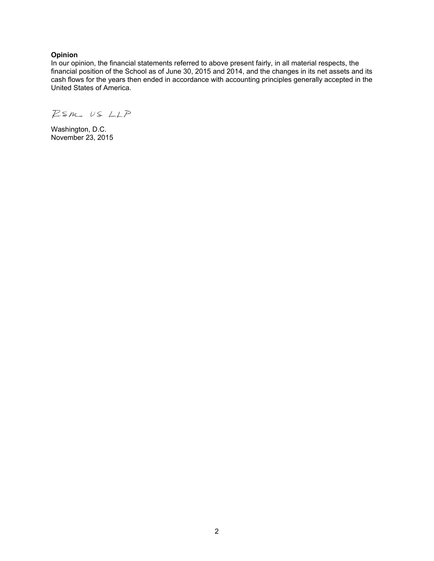# **Opinion**

In our opinion, the financial statements referred to above present fairly, in all material respects, the financial position of the School as of June 30, 2015 and 2014, and the changes in its net assets and its cash flows for the years then ended in accordance with accounting principles generally accepted in the United States of America.

 $Psm.$  US  $LLP$ 

Washington, D.C. November 23, 2015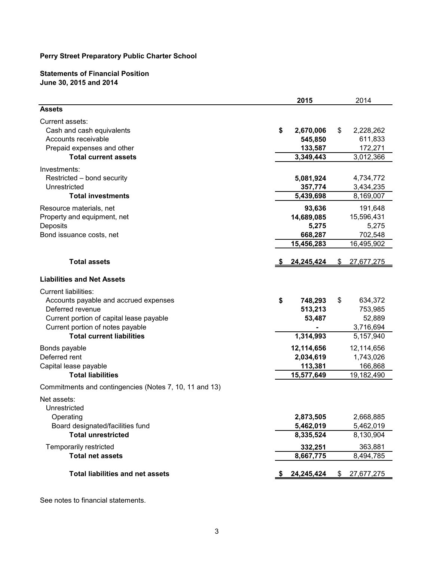# **Statements of Financial Position June 30, 2015 and 2014**

|                                                                                                                                                                                                              | 2015                                                   |     | 2014                                                    |
|--------------------------------------------------------------------------------------------------------------------------------------------------------------------------------------------------------------|--------------------------------------------------------|-----|---------------------------------------------------------|
| <b>Assets</b>                                                                                                                                                                                                |                                                        |     |                                                         |
| Current assets:<br>Cash and cash equivalents<br>Accounts receivable<br>Prepaid expenses and other<br><b>Total current assets</b>                                                                             | \$<br>2,670,006<br>545,850<br>133,587<br>3,349,443     | \$  | 2,228,262<br>611,833<br>172,271<br>3,012,366            |
| Investments:<br>Restricted - bond security<br>Unrestricted<br><b>Total investments</b>                                                                                                                       | 5,081,924<br>357,774<br>5,439,698                      |     | 4,734,772<br>3,434,235<br>8,169,007                     |
| Resource materials, net<br>Property and equipment, net<br>Deposits<br>Bond issuance costs, net                                                                                                               | 93,636<br>14,689,085<br>5,275<br>668,287<br>15,456,283 |     | 191,648<br>15,596,431<br>5,275<br>702,548<br>16,495,902 |
| <b>Total assets</b>                                                                                                                                                                                          | 24,245,424                                             | \$. | 27,677,275                                              |
| <b>Liabilities and Net Assets</b>                                                                                                                                                                            |                                                        |     |                                                         |
| <b>Current liabilities:</b><br>Accounts payable and accrued expenses<br>Deferred revenue<br>Current portion of capital lease payable<br>Current portion of notes payable<br><b>Total current liabilities</b> | \$<br>748,293<br>513,213<br>53,487<br>1,314,993        | \$  | 634,372<br>753,985<br>52,889<br>3,716,694<br>5,157,940  |
| Bonds payable<br>Deferred rent<br>Capital lease payable<br><b>Total liabilities</b>                                                                                                                          | 12,114,656<br>2,034,619<br>113,381<br>15,577,649       |     | 12,114,656<br>1,743,026<br>166,868<br>19,182,490        |
| Commitments and contingencies (Notes 7, 10, 11 and 13)                                                                                                                                                       |                                                        |     |                                                         |
| Net assets:<br>Unrestricted<br>Operating<br>Board designated/facilities fund<br><b>Total unrestricted</b>                                                                                                    | 2,873,505<br>5,462,019<br>8,335,524                    |     | 2,668,885<br>5,462,019<br>8,130,904                     |
| Temporarily restricted                                                                                                                                                                                       | 332,251                                                |     | 363,881                                                 |
| <b>Total net assets</b>                                                                                                                                                                                      | 8,667,775                                              |     | 8,494,785                                               |
| <b>Total liabilities and net assets</b>                                                                                                                                                                      | 24,245,424                                             | \$  | 27,677,275                                              |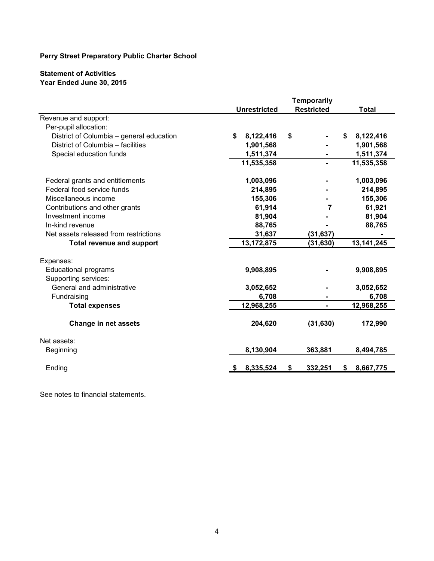# **Statement of Activities Year Ended June 30, 2015**

|                                          | <b>Temporarily</b>     |                |                 |  |
|------------------------------------------|------------------------|----------------|-----------------|--|
|                                          | <b>Unrestricted</b>    | <b>Total</b>   |                 |  |
| Revenue and support:                     |                        |                |                 |  |
| Per-pupil allocation:                    |                        |                |                 |  |
| District of Columbia – general education | \$<br>8,122,416        | \$             | 8,122,416<br>\$ |  |
| District of Columbia - facilities        | 1,901,568              |                | 1,901,568       |  |
| Special education funds                  | 1,511,374              |                | 1,511,374       |  |
|                                          | 11,535,358             | ۰              | 11,535,358      |  |
| Federal grants and entitlements          | 1,003,096              |                | 1,003,096       |  |
| Federal food service funds               | 214,895                |                | 214,895         |  |
| Miscellaneous income                     | 155,306                |                | 155,306         |  |
| Contributions and other grants           | 61,914                 | 7              | 61,921          |  |
| Investment income                        | 81,904                 |                | 81,904          |  |
| In-kind revenue                          | 88,765                 |                | 88,765          |  |
| Net assets released from restrictions    | 31,637                 | (31, 637)      |                 |  |
| <b>Total revenue and support</b>         | 13,172,875             | (31, 630)      | 13, 141, 245    |  |
| Expenses:                                |                        |                |                 |  |
| <b>Educational programs</b>              | 9,908,895              |                | 9,908,895       |  |
| Supporting services:                     |                        |                |                 |  |
| General and administrative               | 3,052,652              |                | 3,052,652       |  |
| Fundraising                              | 6,708                  |                | 6,708           |  |
| <b>Total expenses</b>                    | 12,968,255             | $\blacksquare$ | 12,968,255      |  |
| <b>Change in net assets</b>              | 204,620                | (31, 630)      | 172,990         |  |
| Net assets:                              |                        |                |                 |  |
| Beginning                                | 8,130,904              | 363,881        | 8,494,785       |  |
| Ending                                   | 8,335,524<br><u>\$</u> | 332,251<br>\$  | 8,667,775<br>S. |  |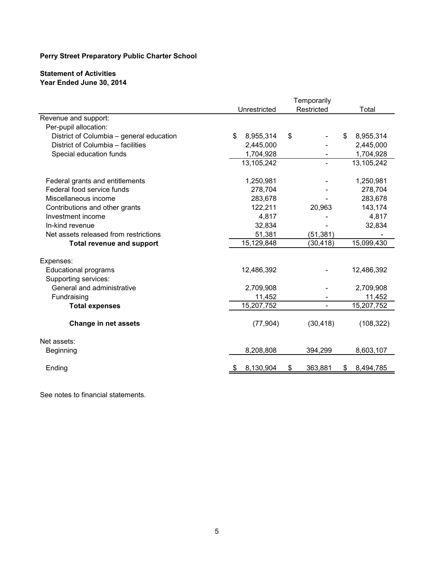# **Statement of Activities Year Ended June 30, 2014**

|                                          | Temporarily            |                              |  |  |
|------------------------------------------|------------------------|------------------------------|--|--|
|                                          | Unrestricted           | Restricted<br>Total          |  |  |
| Revenue and support:                     |                        |                              |  |  |
| Per-pupil allocation:                    |                        |                              |  |  |
| District of Columbia - general education | \$<br>8,955,314<br>\$  | 8,955,314<br>\$              |  |  |
| District of Columbia - facilities        | 2,445,000              | 2,445,000                    |  |  |
| Special education funds                  | 1,704,928              | 1,704,928                    |  |  |
|                                          | 13,105,242             | 13,105,242                   |  |  |
| Federal grants and entitlements          | 1,250,981              | 1,250,981                    |  |  |
| Federal food service funds               | 278,704                | 278,704                      |  |  |
| Miscellaneous income                     | 283,678                | 283,678                      |  |  |
| Contributions and other grants           | 122,211                | 20,963<br>143,174            |  |  |
| Investment income                        | 4,817                  | 4,817                        |  |  |
| In-kind revenue                          | 32,834                 | 32,834                       |  |  |
| Net assets released from restrictions    | 51,381                 | (51, 381)                    |  |  |
| <b>Total revenue and support</b>         | 15,129,848             | 15,099,430<br>(30, 418)      |  |  |
| Expenses:                                |                        |                              |  |  |
| <b>Educational programs</b>              | 12,486,392             | 12,486,392                   |  |  |
| Supporting services:                     |                        |                              |  |  |
| General and administrative               | 2,709,908              | 2,709,908                    |  |  |
| Fundraising                              | 11,452                 | 11,452                       |  |  |
| <b>Total expenses</b>                    | 15,207,752             | 15,207,752<br>$\blacksquare$ |  |  |
| Change in net assets                     | (77, 904)              | (30, 418)<br>(108, 322)      |  |  |
| Net assets:                              |                        |                              |  |  |
| Beginning                                | 8,208,808              | 394,299<br>8,603,107         |  |  |
| Ending                                   | 8,130,904<br><u>\$</u> | 363,881<br>8,494,785<br>\$   |  |  |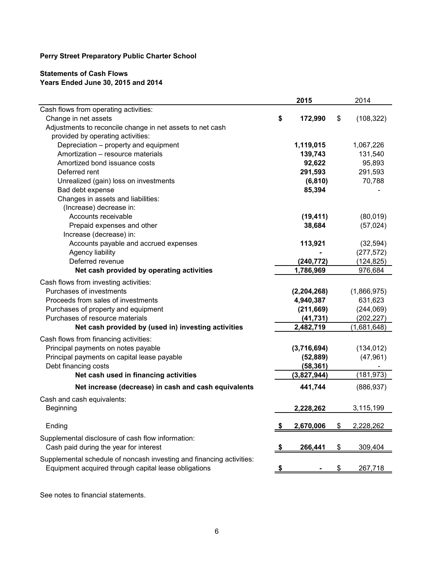# **Statements of Cash Flows Years Ended June 30, 2015 and 2014**

|                                                                              |    | 2015                     | 2014                    |
|------------------------------------------------------------------------------|----|--------------------------|-------------------------|
| Cash flows from operating activities:                                        |    |                          |                         |
| Change in net assets                                                         | \$ | 172,990                  | \$<br>(108, 322)        |
| Adjustments to reconcile change in net assets to net cash                    |    |                          |                         |
| provided by operating activities:                                            |    |                          |                         |
| Depreciation - property and equipment                                        |    | 1,119,015                | 1,067,226               |
| Amortization - resource materials                                            |    | 139,743                  | 131,540                 |
| Amortized bond issuance costs                                                |    | 92,622                   | 95,893                  |
| Deferred rent                                                                |    | 291,593                  | 291,593                 |
| Unrealized (gain) loss on investments                                        |    | (6, 810)                 | 70,788                  |
| Bad debt expense                                                             |    | 85,394                   |                         |
| Changes in assets and liabilities:                                           |    |                          |                         |
| (Increase) decrease in:                                                      |    |                          |                         |
| Accounts receivable                                                          |    | (19, 411)                | (80,019)                |
| Prepaid expenses and other                                                   |    | 38,684                   | (57, 024)               |
| Increase (decrease) in:                                                      |    |                          |                         |
| Accounts payable and accrued expenses                                        |    | 113,921                  | (32, 594)               |
| <b>Agency liability</b>                                                      |    |                          | (277, 572)              |
| Deferred revenue                                                             |    | (240, 772)               | (124, 825)              |
| Net cash provided by operating activities                                    |    | 1,786,969                | 976,684                 |
| Cash flows from investing activities:                                        |    |                          |                         |
| Purchases of investments                                                     |    | (2,204,268)              | (1,866,975)             |
| Proceeds from sales of investments                                           |    | 4,940,387                | 631,623                 |
| Purchases of property and equipment                                          |    | (211, 669)               | (244,069)               |
| Purchases of resource materials                                              |    | (41, 731)                | (202, 227)              |
| Net cash provided by (used in) investing activities                          |    | 2,482,719                | (1,681,648)             |
|                                                                              |    |                          |                         |
| Cash flows from financing activities:<br>Principal payments on notes payable |    |                          |                         |
| Principal payments on capital lease payable                                  |    | (3,716,694)<br>(52, 889) | (134, 012)<br>(47, 961) |
| Debt financing costs                                                         |    | (58, 361)                |                         |
| Net cash used in financing activities                                        |    | (3,827,944)              | (181, 973)              |
|                                                                              |    |                          |                         |
| Net increase (decrease) in cash and cash equivalents                         |    | 441,744                  | (886, 937)              |
| Cash and cash equivalents:                                                   |    |                          |                         |
| Beginning                                                                    |    | 2,228,262                | 3,115,199               |
|                                                                              |    |                          |                         |
| Ending                                                                       |    | 2,670,006                | \$<br>2,228,262         |
| Supplemental disclosure of cash flow information:                            |    |                          |                         |
| Cash paid during the year for interest                                       | 5  | 266,441                  | \$<br>309,404           |
| Supplemental schedule of noncash investing and financing activities:         |    |                          |                         |
| Equipment acquired through capital lease obligations                         |    |                          | \$<br>267,718           |
|                                                                              |    |                          |                         |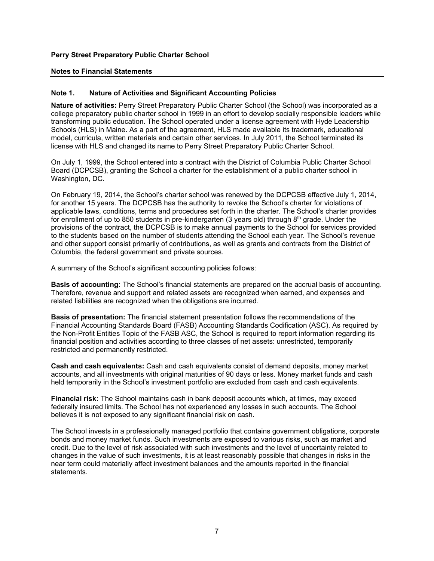# **Notes to Financial Statements**

# **Note 1. Nature of Activities and Significant Accounting Policies**

**Nature of activities:** Perry Street Preparatory Public Charter School (the School) was incorporated as a college preparatory public charter school in 1999 in an effort to develop socially responsible leaders while transforming public education. The School operated under a license agreement with Hyde Leadership Schools (HLS) in Maine. As a part of the agreement, HLS made available its trademark, educational model, curricula, written materials and certain other services. In July 2011, the School terminated its license with HLS and changed its name to Perry Street Preparatory Public Charter School.

On July 1, 1999, the School entered into a contract with the District of Columbia Public Charter School Board (DCPCSB), granting the School a charter for the establishment of a public charter school in Washington, DC.

On February 19, 2014, the School's charter school was renewed by the DCPCSB effective July 1, 2014, for another 15 years. The DCPCSB has the authority to revoke the School's charter for violations of applicable laws, conditions, terms and procedures set forth in the charter. The School's charter provides for enrollment of up to 850 students in pre-kindergarten (3 years old) through  $8<sup>th</sup>$  grade. Under the provisions of the contract, the DCPCSB is to make annual payments to the School for services provided to the students based on the number of students attending the School each year. The School's revenue and other support consist primarily of contributions, as well as grants and contracts from the District of Columbia, the federal government and private sources.

A summary of the School's significant accounting policies follows:

**Basis of accounting:** The School's financial statements are prepared on the accrual basis of accounting. Therefore, revenue and support and related assets are recognized when earned, and expenses and related liabilities are recognized when the obligations are incurred.

**Basis of presentation:** The financial statement presentation follows the recommendations of the Financial Accounting Standards Board (FASB) Accounting Standards Codification (ASC). As required by the Non-Profit Entities Topic of the FASB ASC, the School is required to report information regarding its financial position and activities according to three classes of net assets: unrestricted, temporarily restricted and permanently restricted.

**Cash and cash equivalents:** Cash and cash equivalents consist of demand deposits, money market accounts, and all investments with original maturities of 90 days or less. Money market funds and cash held temporarily in the School's investment portfolio are excluded from cash and cash equivalents.

**Financial risk:** The School maintains cash in bank deposit accounts which, at times, may exceed federally insured limits. The School has not experienced any losses in such accounts. The School believes it is not exposed to any significant financial risk on cash.

The School invests in a professionally managed portfolio that contains government obligations, corporate bonds and money market funds. Such investments are exposed to various risks, such as market and credit. Due to the level of risk associated with such investments and the level of uncertainty related to changes in the value of such investments, it is at least reasonably possible that changes in risks in the near term could materially affect investment balances and the amounts reported in the financial statements.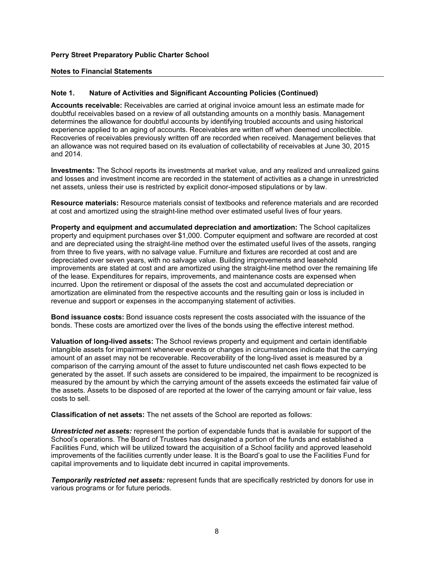# **Notes to Financial Statements**

# **Note 1. Nature of Activities and Significant Accounting Policies (Continued)**

**Accounts receivable:** Receivables are carried at original invoice amount less an estimate made for doubtful receivables based on a review of all outstanding amounts on a monthly basis. Management determines the allowance for doubtful accounts by identifying troubled accounts and using historical experience applied to an aging of accounts. Receivables are written off when deemed uncollectible. Recoveries of receivables previously written off are recorded when received. Management believes that an allowance was not required based on its evaluation of collectability of receivables at June 30, 2015 and 2014.

**Investments:** The School reports its investments at market value, and any realized and unrealized gains and losses and investment income are recorded in the statement of activities as a change in unrestricted net assets, unless their use is restricted by explicit donor-imposed stipulations or by law.

**Resource materials:** Resource materials consist of textbooks and reference materials and are recorded at cost and amortized using the straight-line method over estimated useful lives of four years.

**Property and equipment and accumulated depreciation and amortization:** The School capitalizes property and equipment purchases over \$1,000. Computer equipment and software are recorded at cost and are depreciated using the straight-line method over the estimated useful lives of the assets, ranging from three to five years, with no salvage value. Furniture and fixtures are recorded at cost and are depreciated over seven years, with no salvage value. Building improvements and leasehold improvements are stated at cost and are amortized using the straight-line method over the remaining life of the lease. Expenditures for repairs, improvements, and maintenance costs are expensed when incurred. Upon the retirement or disposal of the assets the cost and accumulated depreciation or amortization are eliminated from the respective accounts and the resulting gain or loss is included in revenue and support or expenses in the accompanying statement of activities.

**Bond issuance costs:** Bond issuance costs represent the costs associated with the issuance of the bonds. These costs are amortized over the lives of the bonds using the effective interest method.

**Valuation of long-lived assets:** The School reviews property and equipment and certain identifiable intangible assets for impairment whenever events or changes in circumstances indicate that the carrying amount of an asset may not be recoverable. Recoverability of the long-lived asset is measured by a comparison of the carrying amount of the asset to future undiscounted net cash flows expected to be generated by the asset. If such assets are considered to be impaired, the impairment to be recognized is measured by the amount by which the carrying amount of the assets exceeds the estimated fair value of the assets. Assets to be disposed of are reported at the lower of the carrying amount or fair value, less costs to sell.

**Classification of net assets:** The net assets of the School are reported as follows:

*Unrestricted net assets:* represent the portion of expendable funds that is available for support of the School's operations. The Board of Trustees has designated a portion of the funds and established a Facilities Fund, which will be utilized toward the acquisition of a School facility and approved leasehold improvements of the facilities currently under lease. It is the Board's goal to use the Facilities Fund for capital improvements and to liquidate debt incurred in capital improvements.

**Temporarily restricted net assets:** represent funds that are specifically restricted by donors for use in various programs or for future periods.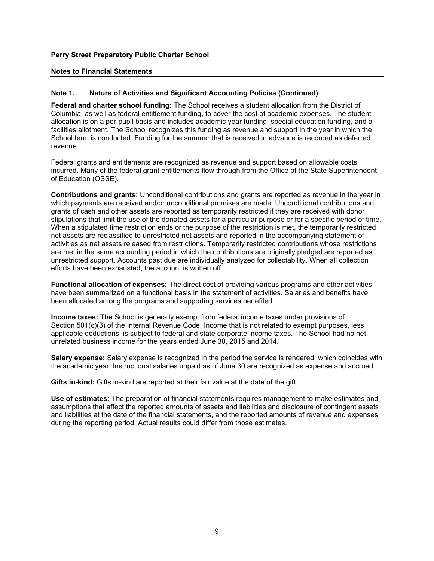# **Notes to Financial Statements**

# **Note 1. Nature of Activities and Significant Accounting Policies (Continued)**

**Federal and charter school funding:** The School receives a student allocation from the District of Columbia, as well as federal entitlement funding, to cover the cost of academic expenses. The student allocation is on a per-pupil basis and includes academic year funding, special education funding, and a facilities allotment. The School recognizes this funding as revenue and support in the year in which the School term is conducted. Funding for the summer that is received in advance is recorded as deferred revenue.

Federal grants and entitlements are recognized as revenue and support based on allowable costs incurred. Many of the federal grant entitlements flow through from the Office of the State Superintendent of Education (OSSE).

**Contributions and grants:** Unconditional contributions and grants are reported as revenue in the year in which payments are received and/or unconditional promises are made. Unconditional contributions and grants of cash and other assets are reported as temporarily restricted if they are received with donor stipulations that limit the use of the donated assets for a particular purpose or for a specific period of time. When a stipulated time restriction ends or the purpose of the restriction is met, the temporarily restricted net assets are reclassified to unrestricted net assets and reported in the accompanying statement of activities as net assets released from restrictions. Temporarily restricted contributions whose restrictions are met in the same accounting period in which the contributions are originally pledged are reported as unrestricted support. Accounts past due are individually analyzed for collectability. When all collection efforts have been exhausted, the account is written off.

**Functional allocation of expenses:** The direct cost of providing various programs and other activities have been summarized on a functional basis in the statement of activities. Salaries and benefits have been allocated among the programs and supporting services benefited.

**Income taxes:** The School is generally exempt from federal income taxes under provisions of Section 501(c)(3) of the Internal Revenue Code. Income that is not related to exempt purposes, less applicable deductions, is subject to federal and state corporate income taxes. The School had no net unrelated business income for the years ended June 30, 2015 and 2014.

**Salary expense:** Salary expense is recognized in the period the service is rendered, which coincides with the academic year. Instructional salaries unpaid as of June 30 are recognized as expense and accrued.

**Gifts in-kind:** Gifts in-kind are reported at their fair value at the date of the gift.

**Use of estimates:** The preparation of financial statements requires management to make estimates and assumptions that affect the reported amounts of assets and liabilities and disclosure of contingent assets and liabilities at the date of the financial statements, and the reported amounts of revenue and expenses during the reporting period. Actual results could differ from those estimates.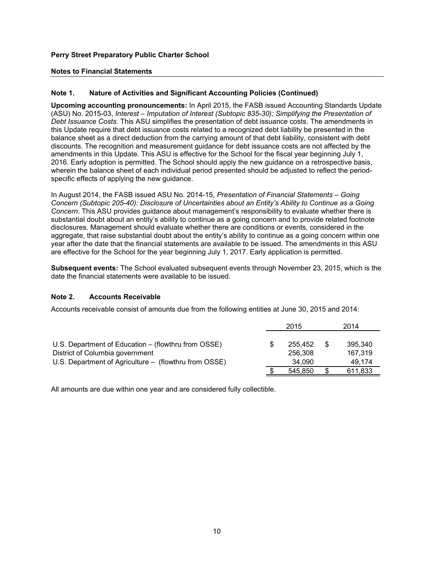# **Notes to Financial Statements**

# **Note 1. Nature of Activities and Significant Accounting Policies (Continued)**

**Upcoming accounting pronouncements:** In April 2015, the FASB issued Accounting Standards Update (ASU) No. 2015-03, *Interest – Imputation of Interest (Subtopic 835-30); Simplifying the Presentation of Debt Issuance Costs*. This ASU simplifies the presentation of debt issuance costs. The amendments in this Update require that debt issuance costs related to a recognized debt liability be presented in the balance sheet as a direct deduction from the carrying amount of that debt liability, consistent with debt discounts. The recognition and measurement guidance for debt issuance costs are not affected by the amendments in this Update. This ASU is effective for the School for the fiscal year beginning July 1, 2016. Early adoption is permitted. The School should apply the new guidance on a retrospective basis, wherein the balance sheet of each individual period presented should be adjusted to reflect the periodspecific effects of applying the new guidance.

In August 2014, the FASB issued ASU No. 2014-15, *Presentation of Financial Statements – Going Concern (Subtopic 205-40): Disclosure of Uncertainties about an Entity's Ability to Continue as a Going Concern*. This ASU provides guidance about management's responsibility to evaluate whether there is substantial doubt about an entity's ability to continue as a going concern and to provide related footnote disclosures. Management should evaluate whether there are conditions or events, considered in the aggregate, that raise substantial doubt about the entity's ability to continue as a going concern within one year after the date that the financial statements are available to be issued. The amendments in this ASU are effective for the School for the year beginning July 1, 2017. Early application is permitted.

**Subsequent events:** The School evaluated subsequent events through November 23, 2015, which is the date the financial statements were available to be issued.

#### **Note 2. Accounts Receivable**

Accounts receivable consist of amounts due from the following entities at June 30, 2015 and 2014:

|                                                       |   | 2015    | 2014    |
|-------------------------------------------------------|---|---------|---------|
|                                                       |   |         |         |
| U.S. Department of Education – (flowthru from OSSE)   | S | 255.452 | 395.340 |
| District of Columbia government                       |   | 256,308 | 167.319 |
| U.S. Department of Agriculture – (flowthru from OSSE) |   | 34.090  | 49.174  |
|                                                       |   | 545.850 | 611,833 |

All amounts are due within one year and are considered fully collectible.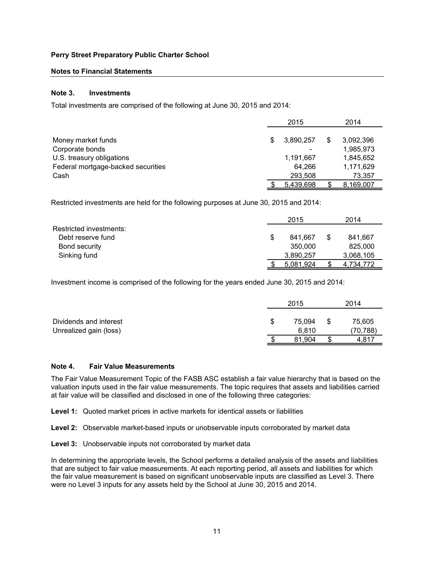# **Notes to Financial Statements**

# **Note 3. Investments**

Total investments are comprised of the following at June 30, 2015 and 2014:

|                                    | 2015 |           |    | 2014      |
|------------------------------------|------|-----------|----|-----------|
|                                    |      |           |    |           |
| Money market funds                 | S    | 3.890.257 | \$ | 3,092,396 |
| Corporate bonds                    |      |           |    | 1,985,973 |
| U.S. treasury obligations          |      | 1.191.667 |    | 1,845,652 |
| Federal mortgage-backed securities |      | 64.266    |    | 1,171,629 |
| Cash                               |      | 293,508   |    | 73,357    |
|                                    |      | 5,439,698 |    | 8,169,007 |

Restricted investments are held for the following purposes at June 30, 2015 and 2014:

|                         |   | 2015      | 2014      |
|-------------------------|---|-----------|-----------|
| Restricted investments: |   |           |           |
| Debt reserve fund       | S | 841.667   | 841.667   |
| Bond security           |   | 350,000   | 825,000   |
| Sinking fund            |   | 3,890,257 | 3,068,105 |
|                         |   | 5.081.924 | 4,734,772 |

Investment income is comprised of the following for the years ended June 30, 2015 and 2014:

|                                                  |   | 2015            | 2014               |
|--------------------------------------------------|---|-----------------|--------------------|
| Dividends and interest<br>Unrealized gain (loss) | S | 75.094<br>6.810 | 75,605<br>(70,788) |
|                                                  | c | 81.904          | -4.81              |

# **Note 4. Fair Value Measurements**

The Fair Value Measurement Topic of the FASB ASC establish a fair value hierarchy that is based on the valuation inputs used in the fair value measurements. The topic requires that assets and liabilities carried at fair value will be classified and disclosed in one of the following three categories:

**Level 1:** Quoted market prices in active markets for identical assets or liabilities

**Level 2:** Observable market-based inputs or unobservable inputs corroborated by market data

**Level 3:** Unobservable inputs not corroborated by market data

In determining the appropriate levels, the School performs a detailed analysis of the assets and liabilities that are subject to fair value measurements. At each reporting period, all assets and liabilities for which the fair value measurement is based on significant unobservable inputs are classified as Level 3. There were no Level 3 inputs for any assets held by the School at June 30, 2015 and 2014.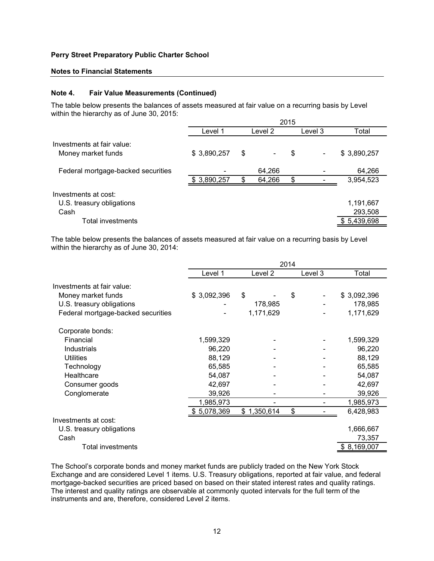#### **Notes to Financial Statements**

#### **Note 4. Fair Value Measurements (Continued)**

The table below presents the balances of assets measured at fair value on a recurring basis by Level within the hierarchy as of June 30, 2015:

|                                                  | 2015        |    |                          |    |                          |             |
|--------------------------------------------------|-------------|----|--------------------------|----|--------------------------|-------------|
|                                                  | Level 1     |    | Level 2                  |    | Level 3                  | Total       |
| Investments at fair value:<br>Money market funds | \$3,890,257 | \$ | $\overline{\phantom{a}}$ | \$ | $\overline{\phantom{a}}$ | \$3,890,257 |
|                                                  |             |    |                          |    |                          |             |
| Federal mortgage-backed securities               |             |    | 64,266                   |    |                          | 64,266      |
|                                                  | \$3,890,257 |    | 64,266                   |    |                          | 3,954,523   |
| Investments at cost:                             |             |    |                          |    |                          |             |
| U.S. treasury obligations                        |             |    |                          |    |                          | 1,191,667   |
| Cash                                             |             |    |                          |    |                          | 293,508     |
| Total investments                                |             |    |                          |    |                          | 5,439,698   |

The table below presents the balances of assets measured at fair value on a recurring basis by Level within the hierarchy as of June 30, 2014:

|                                    | 2014        |             |         |             |
|------------------------------------|-------------|-------------|---------|-------------|
|                                    | Level 1     | Level 2     | Level 3 | Total       |
| Investments at fair value:         |             |             |         |             |
| Money market funds                 | \$3,092,396 | \$          | \$      | \$3,092,396 |
| U.S. treasury obligations          |             | 178,985     |         | 178,985     |
| Federal mortgage-backed securities |             | 1,171,629   |         | 1,171,629   |
| Corporate bonds:                   |             |             |         |             |
| Financial                          | 1,599,329   |             |         | 1,599,329   |
| Industrials                        | 96,220      |             |         | 96,220      |
| <b>Utilities</b>                   | 88,129      |             |         | 88,129      |
| Technology                         | 65,585      |             |         | 65,585      |
| Healthcare                         | 54,087      |             |         | 54,087      |
| Consumer goods                     | 42,697      |             |         | 42,697      |
| Conglomerate                       | 39,926      |             |         | 39,926      |
|                                    | 1,985,973   |             |         | 1,985,973   |
|                                    | \$5,078,369 | \$1,350,614 | \$      | 6,428,983   |
| Investments at cost:               |             |             |         |             |
| U.S. treasury obligations          |             |             |         | 1,666,667   |
| Cash                               |             |             |         | 73,357      |
| Total investments                  |             |             |         | \$8,169,007 |

The School's corporate bonds and money market funds are publicly traded on the New York Stock Exchange and are considered Level 1 items. U.S. Treasury obligations, reported at fair value, and federal mortgage-backed securities are priced based on based on their stated interest rates and quality ratings. The interest and quality ratings are observable at commonly quoted intervals for the full term of the instruments and are, therefore, considered Level 2 items.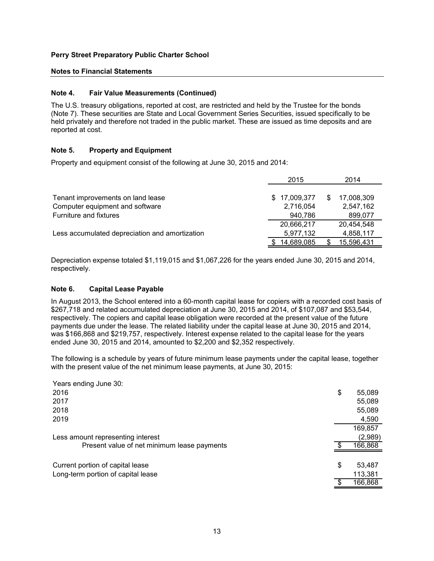# **Notes to Financial Statements**

#### **Note 4. Fair Value Measurements (Continued)**

The U.S. treasury obligations, reported at cost, are restricted and held by the Trustee for the bonds (Note 7). These securities are State and Local Government Series Securities, issued specifically to be held privately and therefore not traded in the public market. These are issued as time deposits and are reported at cost.

# **Note 5. Property and Equipment**

Property and equipment consist of the following at June 30, 2015 and 2014:

|                                                                      | 2015                      | 2014                         |
|----------------------------------------------------------------------|---------------------------|------------------------------|
| Tenant improvements on land lease<br>Computer equipment and software | \$17,009,377<br>2,716,054 | 17,008,309<br>S<br>2,547,162 |
| Furniture and fixtures                                               | 940.786                   | 899.077                      |
|                                                                      | 20,666,217                | 20,454,548                   |
| Less accumulated depreciation and amortization                       | 5,977,132                 | 4,858,117                    |
|                                                                      | 14,689,085                | 15,596,431                   |

Depreciation expense totaled \$1,119,015 and \$1,067,226 for the years ended June 30, 2015 and 2014, respectively.

# **Note 6. Capital Lease Payable**

In August 2013, the School entered into a 60-month capital lease for copiers with a recorded cost basis of \$267,718 and related accumulated depreciation at June 30, 2015 and 2014, of \$107,087 and \$53,544, respectively. The copiers and capital lease obligation were recorded at the present value of the future payments due under the lease. The related liability under the capital lease at June 30, 2015 and 2014, was \$166,868 and \$219,757, respectively. Interest expense related to the capital lease for the years ended June 30, 2015 and 2014, amounted to \$2,200 and \$2,352 respectively.

The following is a schedule by years of future minimum lease payments under the capital lease, together with the present value of the net minimum lease payments, at June 30, 2015:

| Years ending June 30:                       |              |
|---------------------------------------------|--------------|
| 2016                                        | \$<br>55,089 |
| 2017                                        | 55,089       |
| 2018                                        | 55,089       |
| 2019                                        | 4,590        |
|                                             | 169,857      |
| Less amount representing interest           | (2,989)      |
| Present value of net minimum lease payments | 166,868      |
|                                             |              |
| Current portion of capital lease            | \$<br>53,487 |
| Long-term portion of capital lease          | 113,381      |
|                                             | 166.868      |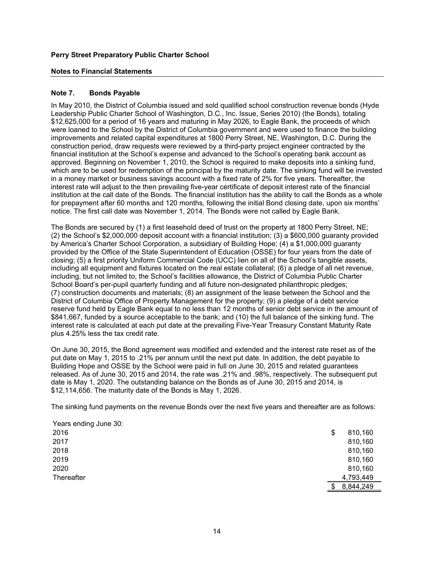#### **Notes to Financial Statements**

# **Note 7. Bonds Payable**

In May 2010, the District of Columbia issued and sold qualified school construction revenue bonds (Hyde Leadership Public Charter School of Washington, D.C., Inc. Issue, Series 2010) (the Bonds), totaling \$12,625,000 for a period of 16 years and maturing in May 2026, to Eagle Bank, the proceeds of which were loaned to the School by the District of Columbia government and were used to finance the building improvements and related capital expenditures at 1800 Perry Street, NE, Washington, D.C. During the construction period, draw requests were reviewed by a third-party project engineer contracted by the financial institution at the School's expense and advanced to the School's operating bank account as approved. Beginning on November 1, 2010, the School is required to make deposits into a sinking fund, which are to be used for redemption of the principal by the maturity date. The sinking fund will be invested in a money market or business savings account with a fixed rate of 2% for five years. Thereafter, the interest rate will adjust to the then prevailing five-year certificate of deposit interest rate of the financial institution at the call date of the Bonds. The financial institution has the ability to call the Bonds as a whole for prepayment after 60 months and 120 months, following the initial Bond closing date, upon six months' notice. The first call date was November 1, 2014. The Bonds were not called by Eagle Bank.

The Bonds are secured by (1) a first leasehold deed of trust on the property at 1800 Perry Street, NE; (2) the School's \$2,000,000 deposit account with a financial institution; (3) a \$600,000 guaranty provided by America's Charter School Corporation, a subsidiary of Building Hope; (4) a \$1,000,000 guaranty provided by the Office of the State Superintendent of Education (OSSE) for four years from the date of closing; (5) a first priority Uniform Commercial Code (UCC) lien on all of the School's tangible assets, including all equipment and fixtures located on the real estate collateral; (6) a pledge of all net revenue, including, but not limited to, the School's facilities allowance, the District of Columbia Public Charter School Board's per-pupil quarterly funding and all future non-designated philanthropic pledges; (7) construction documents and materials; (8) an assignment of the lease between the School and the District of Columbia Office of Property Management for the property; (9) a pledge of a debt service reserve fund held by Eagle Bank equal to no less than 12 months of senior debt service in the amount of \$841,667, funded by a source acceptable to the bank; and (10) the full balance of the sinking fund. The interest rate is calculated at each put date at the prevailing Five-Year Treasury Constant Maturity Rate plus 4.25% less the tax credit rate.

On June 30, 2015, the Bond agreement was modified and extended and the interest rate reset as of the put date on May 1, 2015 to .21% per annum until the next put date. In addition, the debt payable to Building Hope and OSSE by the School were paid in full on June 30, 2015 and related guarantees released. As of June 30, 2015 and 2014, the rate was .21% and .98%, respectively. The subsequent put date is May 1, 2020. The outstanding balance on the Bonds as of June 30, 2015 and 2014, is \$12,114,656. The maturity date of the Bonds is May 1, 2026.

The sinking fund payments on the revenue Bonds over the next five years and thereafter are as follows:

| Years ending June 30: |    |           |
|-----------------------|----|-----------|
| 2016                  | \$ | 810,160   |
| 2017                  |    | 810,160   |
| 2018                  |    | 810,160   |
| 2019                  |    | 810,160   |
| 2020                  |    | 810,160   |
| Thereafter            |    | 4,793,449 |
|                       | S  | 8,844,249 |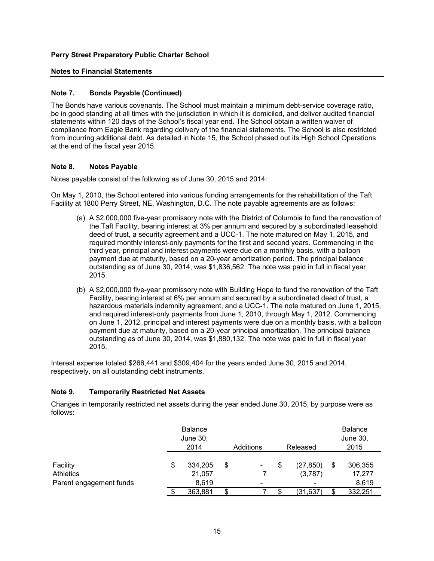# **Notes to Financial Statements**

# **Note 7. Bonds Payable (Continued)**

The Bonds have various covenants. The School must maintain a minimum debt-service coverage ratio, be in good standing at all times with the jurisdiction in which it is domiciled, and deliver audited financial statements within 120 days of the School's fiscal year end. The School obtain a written waiver of compliance from Eagle Bank regarding delivery of the financial statements. The School is also restricted from incurring additional debt. As detailed in Note 15, the School phased out its High School Operations at the end of the fiscal year 2015.

# **Note 8. Notes Payable**

Notes payable consist of the following as of June 30, 2015 and 2014:

On May 1, 2010, the School entered into various funding arrangements for the rehabilitation of the Taft Facility at 1800 Perry Street, NE, Washington, D.C. The note payable agreements are as follows:

- (a) A \$2,000,000 five-year promissory note with the District of Columbia to fund the renovation of the Taft Facility, bearing interest at 3% per annum and secured by a subordinated leasehold deed of trust, a security agreement and a UCC-1. The note matured on May 1, 2015, and required monthly interest-only payments for the first and second years. Commencing in the third year, principal and interest payments were due on a monthly basis, with a balloon payment due at maturity, based on a 20-year amortization period. The principal balance outstanding as of June 30, 2014, was \$1,836,562. The note was paid in full in fiscal year 2015.
- (b) A \$2,000,000 five-year promissory note with Building Hope to fund the renovation of the Taft Facility, bearing interest at 6% per annum and secured by a subordinated deed of trust, a hazardous materials indemnity agreement, and a UCC-1. The note matured on June 1, 2015, and required interest-only payments from June 1, 2010, through May 1, 2012. Commencing on June 1, 2012, principal and interest payments were due on a monthly basis, with a balloon payment due at maturity, based on a 20-year principal amortization. The principal balance outstanding as of June 30, 2014, was \$1,880,132. The note was paid in full in fiscal year 2015.

Interest expense totaled \$266,441 and \$309,404 for the years ended June 30, 2015 and 2014, respectively, on all outstanding debt instruments.

# **Note 9. Temporarily Restricted Net Assets**

Changes in temporarily restricted net assets during the year ended June 30, 2015, by purpose were as follows:

|                              | <b>Balance</b><br>June 30,<br>2014 | Additions                      | Released                   | <b>Balance</b><br>June 30,<br>2015 |                   |  |
|------------------------------|------------------------------------|--------------------------------|----------------------------|------------------------------------|-------------------|--|
| Facility<br><b>Athletics</b> | \$<br>334,205<br>21,057            | \$<br>$\overline{\phantom{a}}$ | \$<br>(27, 850)<br>(3,787) | \$                                 | 306,355<br>17,277 |  |
| Parent engagement funds      | 8.619                              | $\overline{\phantom{0}}$       |                            |                                    | 8,619             |  |
|                              | 363,881                            |                                | (31, 637)                  | \$                                 | 332,251           |  |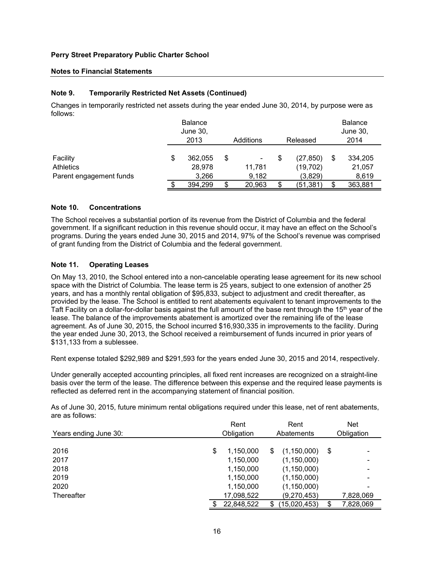# **Notes to Financial Statements**

# **Note 9. Temporarily Restricted Net Assets (Continued)**

Changes in temporarily restricted net assets during the year ended June 30, 2014, by purpose were as follows:

|                                                         | <b>Balance</b><br>June 30,<br>2013 | Additions                                         | Released                                | <b>Balance</b><br>June 30,<br>2014 |                            |  |
|---------------------------------------------------------|------------------------------------|---------------------------------------------------|-----------------------------------------|------------------------------------|----------------------------|--|
| Facility<br><b>Athletics</b><br>Parent engagement funds | \$<br>362.055<br>28,978<br>3,266   | \$<br>$\overline{\phantom{a}}$<br>11,781<br>9,182 | \$<br>(27, 850)<br>(19, 702)<br>(3,829) | \$                                 | 334,205<br>21,057<br>8,619 |  |
|                                                         | 394.299                            | 20,963                                            | (51, 381)                               | S                                  | 363,881                    |  |

# **Note 10. Concentrations**

The School receives a substantial portion of its revenue from the District of Columbia and the federal government. If a significant reduction in this revenue should occur, it may have an effect on the School's programs. During the years ended June 30, 2015 and 2014, 97% of the School's revenue was comprised of grant funding from the District of Columbia and the federal government.

# **Note 11. Operating Leases**

On May 13, 2010, the School entered into a non-cancelable operating lease agreement for its new school space with the District of Columbia. The lease term is 25 years, subject to one extension of another 25 years, and has a monthly rental obligation of \$95,833, subject to adjustment and credit thereafter, as provided by the lease. The School is entitled to rent abatements equivalent to tenant improvements to the Taft Facility on a dollar-for-dollar basis against the full amount of the base rent through the 15<sup>th</sup> year of the lease. The balance of the improvements abatement is amortized over the remaining life of the lease agreement. As of June 30, 2015, the School incurred \$16,930,335 in improvements to the facility. During the year ended June 30, 2013, the School received a reimbursement of funds incurred in prior years of \$131,133 from a sublessee.

Rent expense totaled \$292,989 and \$291,593 for the years ended June 30, 2015 and 2014, respectively.

Under generally accepted accounting principles, all fixed rent increases are recognized on a straight-line basis over the term of the lease. The difference between this expense and the required lease payments is reflected as deferred rent in the accompanying statement of financial position.

As of June 30, 2015, future minimum rental obligations required under this lease, net of rent abatements, are as follows:

|                       |    | Rent       |            | Rent          | <b>Net</b> |           |  |
|-----------------------|----|------------|------------|---------------|------------|-----------|--|
| Years ending June 30: |    | Obligation | Abatements |               | Obligation |           |  |
| 2016                  | \$ | 1,150,000  | \$         | (1, 150, 000) | S          |           |  |
| 2017                  |    | 1,150,000  |            | (1, 150, 000) |            |           |  |
| 2018                  |    | 1,150,000  |            | (1, 150, 000) |            |           |  |
| 2019                  |    | 1,150,000  |            | (1, 150, 000) |            |           |  |
| 2020                  |    | 1,150,000  |            | (1, 150, 000) |            |           |  |
| Thereafter            |    | 17,098,522 |            | (9,270,453)   |            | 7,828,069 |  |
|                       |    | 22,848,522 |            | (15,020,453)  |            | 7,828,069 |  |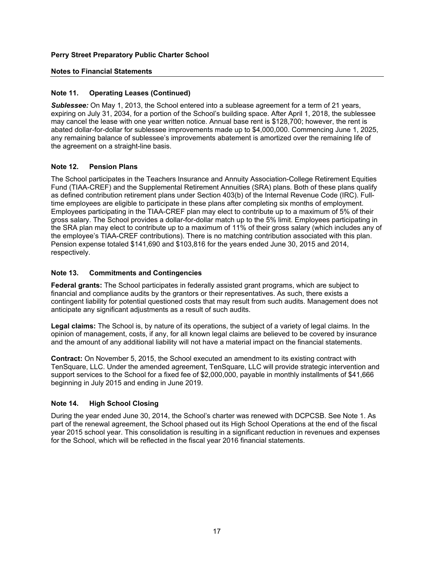# **Notes to Financial Statements**

# **Note 11. Operating Leases (Continued)**

*Sublessee:* On May 1, 2013, the School entered into a sublease agreement for a term of 21 years, expiring on July 31, 2034, for a portion of the School's building space. After April 1, 2018, the sublessee may cancel the lease with one year written notice. Annual base rent is \$128,700; however, the rent is abated dollar-for-dollar for sublessee improvements made up to \$4,000,000. Commencing June 1, 2025, any remaining balance of sublessee's improvements abatement is amortized over the remaining life of the agreement on a straight-line basis.

# **Note 12. Pension Plans**

The School participates in the Teachers Insurance and Annuity Association-College Retirement Equities Fund (TIAA-CREF) and the Supplemental Retirement Annuities (SRA) plans. Both of these plans qualify as defined contribution retirement plans under Section 403(b) of the Internal Revenue Code (IRC). Fulltime employees are eligible to participate in these plans after completing six months of employment. Employees participating in the TIAA-CREF plan may elect to contribute up to a maximum of 5% of their gross salary. The School provides a dollar-for-dollar match up to the 5% limit. Employees participating in the SRA plan may elect to contribute up to a maximum of 11% of their gross salary (which includes any of the employee's TIAA-CREF contributions). There is no matching contribution associated with this plan. Pension expense totaled \$141,690 and \$103,816 for the years ended June 30, 2015 and 2014, respectively.

# **Note 13. Commitments and Contingencies**

**Federal grants:** The School participates in federally assisted grant programs, which are subject to financial and compliance audits by the grantors or their representatives. As such, there exists a contingent liability for potential questioned costs that may result from such audits. Management does not anticipate any significant adjustments as a result of such audits.

**Legal claims:** The School is, by nature of its operations, the subject of a variety of legal claims. In the opinion of management, costs, if any, for all known legal claims are believed to be covered by insurance and the amount of any additional liability will not have a material impact on the financial statements.

**Contract:** On November 5, 2015, the School executed an amendment to its existing contract with TenSquare, LLC. Under the amended agreement, TenSquare, LLC will provide strategic intervention and support services to the School for a fixed fee of \$2,000,000, payable in monthly installments of \$41,666 beginning in July 2015 and ending in June 2019.

#### **Note 14. High School Closing**

During the year ended June 30, 2014, the School's charter was renewed with DCPCSB. See Note 1. As part of the renewal agreement, the School phased out its High School Operations at the end of the fiscal year 2015 school year. This consolidation is resulting in a significant reduction in revenues and expenses for the School, which will be reflected in the fiscal year 2016 financial statements.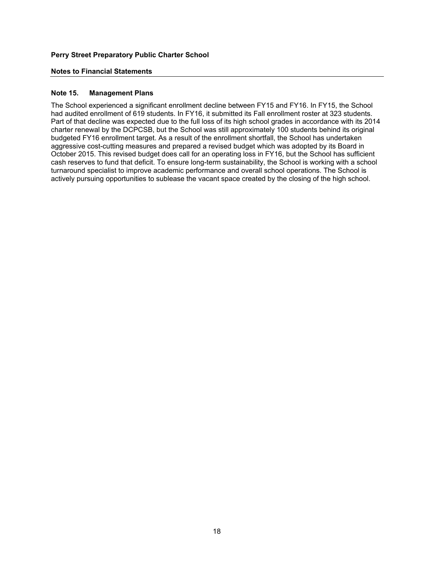#### **Notes to Financial Statements**

# **Note 15. Management Plans**

The School experienced a significant enrollment decline between FY15 and FY16. In FY15, the School had audited enrollment of 619 students. In FY16, it submitted its Fall enrollment roster at 323 students. Part of that decline was expected due to the full loss of its high school grades in accordance with its 2014 charter renewal by the DCPCSB, but the School was still approximately 100 students behind its original budgeted FY16 enrollment target. As a result of the enrollment shortfall, the School has undertaken aggressive cost-cutting measures and prepared a revised budget which was adopted by its Board in October 2015. This revised budget does call for an operating loss in FY16, but the School has sufficient cash reserves to fund that deficit. To ensure long-term sustainability, the School is working with a school turnaround specialist to improve academic performance and overall school operations. The School is actively pursuing opportunities to sublease the vacant space created by the closing of the high school.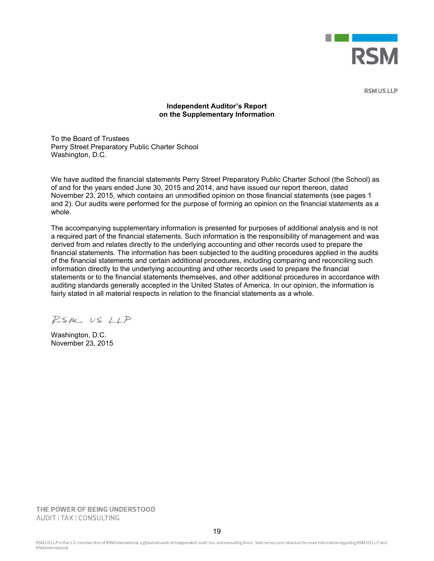

**RSM US LLP** 

#### **Independent Auditor's Report on the Supplementary Information**

To the Board of Trustees Perry Street Preparatory Public Charter School Washington, D.C.

We have audited the financial statements Perry Street Preparatory Public Charter School (the School) as of and for the years ended June 30, 2015 and 2014, and have issued our report thereon, dated November 23, 2015, which contains an unmodified opinion on those financial statements (see pages 1 and 2). Our audits were performed for the purpose of forming an opinion on the financial statements as a whole.

The accompanying supplementary information is presented for purposes of additional analysis and is not a required part of the financial statements. Such information is the responsibility of management and was derived from and relates directly to the underlying accounting and other records used to prepare the financial statements. The information has been subjected to the auditing procedures applied in the audits of the financial statements and certain additional procedures, including comparing and reconciling such information directly to the underlying accounting and other records used to prepare the financial statements or to the financial statements themselves, and other additional procedures in accordance with auditing standards generally accepted in the United States of America. In our opinion, the information is fairly stated in all material respects in relation to the financial statements as a whole.

 $P_{sm}$  US  $LLP$ 

Washington, D.C. November 23, 2015

THE POWER OF BEING UNDERSTOOD AUDIT | TAX | CONSULTING